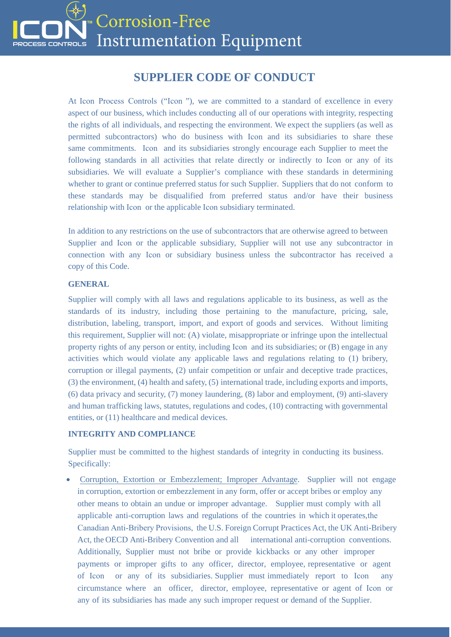

# **SUPPLIER CODE OF CONDUCT**

At Icon Process Controls ("Icon "), we are committed to a standard of excellence in every aspect of our business, which includes conducting all of our operations with integrity, respecting the rights of all individuals, and respecting the environment. We expect the suppliers (as well as permitted subcontractors) who do business with Icon and its subsidiaries to share these same commitments. Icon and its subsidiaries strongly encourage each Supplier to meet the following standards in all activities that relate directly or indirectly to Icon or any of its subsidiaries. We will evaluate a Supplier's compliance with these standards in determining whether to grant or continue preferred status for such Supplier. Suppliers that do not conform to these standards may be disqualified from preferred status and/or have their business relationship with Icon or the applicable Icon subsidiary terminated.

In addition to any restrictions on the use of subcontractors that are otherwise agreed to between Supplier and Icon or the applicable subsidiary, Supplier will not use any subcontractor in connection with any Icon or subsidiary business unless the subcontractor has received a copy of this Code.

#### **GENERAL**

Supplier will comply with all laws and regulations applicable to its business, as well as the standards of its industry, including those pertaining to the manufacture, pricing, sale, distribution, labeling, transport, import, and export of goods and services. Without limiting this requirement, Supplier will not: (A) violate, misappropriate or infringe upon the intellectual property rights of any person or entity, including Icon and its subsidiaries; or (B) engage in any activities which would violate any applicable laws and regulations relating to (1) bribery, corruption or illegal payments, (2) unfair competition or unfair and deceptive trade practices, (3) the environment, (4) health and safety, (5) international trade, including exports and imports, (6) data privacy and security, (7) money laundering, (8) labor and employment, (9) anti-slavery and human trafficking laws, statutes, regulations and codes, (10) contracting with governmental entities, or (11) healthcare and medical devices.

#### **INTEGRITY AND COMPLIANCE**

Supplier must be committed to the highest standards of integrity in conducting its business. Specifically:

• Corruption, Extortion or Embezzlement; Improper Advantage. Supplier will not engage in corruption, extortion or embezzlement in any form, offer or accept bribes or employ any other means to obtain an undue or improper advantage. Supplier must comply with all applicable anti-corruption laws and regulations of the countries in which it operates,the Canadian Anti-Bribery Provisions, the U.S. Foreign Corrupt Practices Act, the UK Anti-Bribery Act, the OECD Anti-Bribery Convention and all international anti-corruption conventions. Additionally, Supplier must not bribe or provide kickbacks or any other improper payments or improper gifts to any officer, director, employee, representative or agent of Icon or any of its subsidiaries. Supplier must immediately report to Icon any circumstance where an officer, director, employee, representative or agent of Icon or any of its subsidiaries has made any such improper request or demand of the Supplier.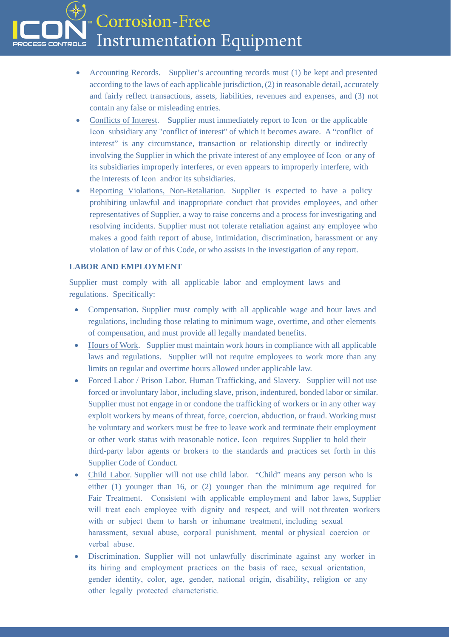Corrosion-Free **Instrumentation Equipment CONTROLS** 

- Accounting Records. Supplier's accounting records must (1) be kept and presented according to the laws of each applicable jurisdiction, (2) in reasonable detail, accurately and fairly reflect transactions, assets, liabilities, revenues and expenses, and (3) not contain any false or misleading entries.
- Conflicts of Interest. Supplier must immediately report to Icon or the applicable Icon subsidiary any "conflict of interest" of which it becomes aware. A "conflict of interest" is any circumstance, transaction or relationship directly or indirectly involving the Supplier in which the private interest of any employee of Icon or any of its subsidiaries improperly interferes, or even appears to improperly interfere, with the interests of Icon and/or its subsidiaries.
- Reporting Violations, Non-Retaliation. Supplier is expected to have a policy prohibiting unlawful and inappropriate conduct that provides employees, and other representatives of Supplier, a way to raise concerns and a process for investigating and resolving incidents. Supplier must not tolerate retaliation against any employee who makes a good faith report of abuse, intimidation, discrimination, harassment or any violation of law or of this Code, or who assists in the investigation of any report.

## **LABOR AND EMPLOYMENT**

Supplier must comply with all applicable labor and employment laws and regulations. Specifically:

- Compensation. Supplier must comply with all applicable wage and hour laws and regulations, including those relating to minimum wage, overtime, and other elements of compensation, and must provide all legally mandated benefits.
- Hours of Work. Supplier must maintain work hours in compliance with all applicable laws and regulations. Supplier will not require employees to work more than any limits on regular and overtime hours allowed under applicable law.
- Forced Labor / Prison Labor, Human Trafficking, and Slavery. Supplier will not use forced or involuntary labor, including slave, prison, indentured, bonded labor or similar. Supplier must not engage in or condone the trafficking of workers or in any other way exploit workers by means of threat, force, coercion, abduction, or fraud. Working must be voluntary and workers must be free to leave work and terminate their employment or other work status with reasonable notice. Icon requires Supplier to hold their third-party labor agents or brokers to the standards and practices set forth in this Supplier Code of Conduct.
- Child Labor. Supplier will not use child labor. "Child" means any person who is either (1) younger than 16, or (2) younger than the minimum age required for Fair Treatment. Consistent with applicable employment and labor laws, Supplier will treat each employee with dignity and respect, and will not threaten workers with or subject them to harsh or inhumane treatment, including sexual harassment, sexual abuse, corporal punishment, mental or physical coercion or verbal abuse.
- Discrimination. Supplier will not unlawfully discriminate against any worker in its hiring and employment practices on the basis of race, sexual orientation, gender identity, color, age, gender, national origin, disability, religion or any other legally protected characteristic.